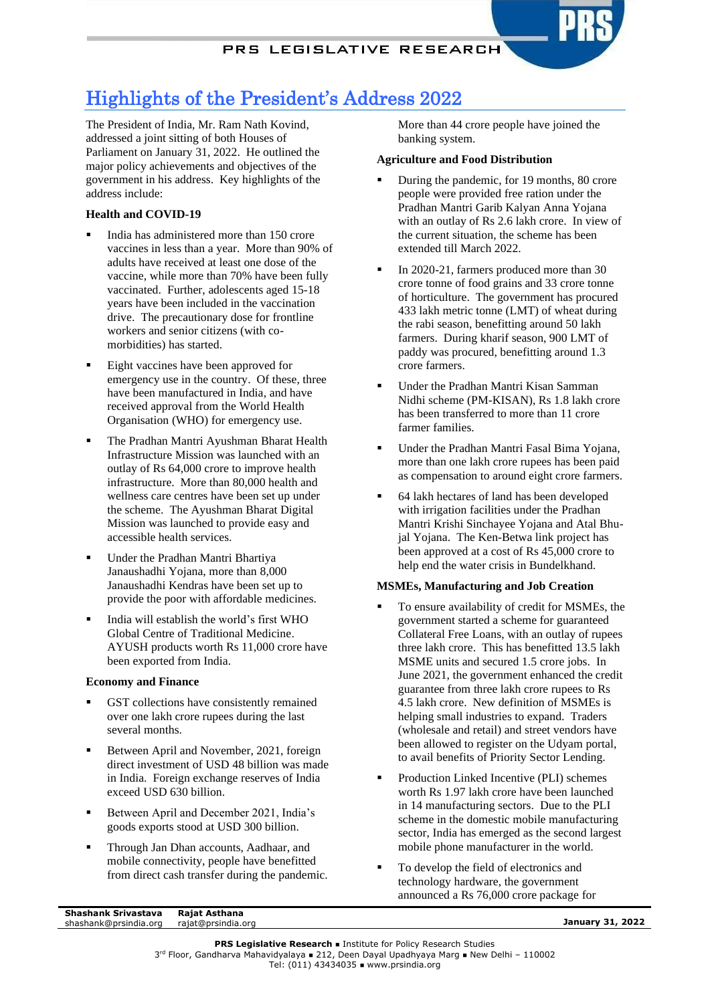# Highlights of the President's Address 2022

The President of India, Mr. Ram Nath Kovind, addressed a joint sitting of both Houses of Parliament on January 31, 2022. He outlined the major policy achievements and objectives of the government in his address. Key highlights of the address include:

# **Health and COVID-19**

- India has administered more than 150 crore vaccines in less than a year. More than 90% of adults have received at least one dose of the vaccine, while more than 70% have been fully vaccinated. Further, adolescents aged 15-18 years have been included in the vaccination drive. The precautionary dose for frontline workers and senior citizens (with comorbidities) has started.
- Eight vaccines have been approved for emergency use in the country. Of these, three have been manufactured in India, and have received approval from the World Health Organisation (WHO) for emergency use.
- The Pradhan Mantri Ayushman Bharat Health Infrastructure Mission was launched with an outlay of Rs 64,000 crore to improve health infrastructure. More than 80,000 health and wellness care centres have been set up under the scheme. The Ayushman Bharat Digital Mission was launched to provide easy and accessible health services.
- Under the Pradhan Mantri Bhartiya Janaushadhi Yojana, more than 8,000 Janaushadhi Kendras have been set up to provide the poor with affordable medicines.
- India will establish the world's first WHO Global Centre of Traditional Medicine. AYUSH products worth Rs 11,000 crore have been exported from India.

# **Economy and Finance**

- GST collections have consistently remained over one lakh crore rupees during the last several months.
- Between April and November, 2021, foreign direct investment of USD 48 billion was made in India. Foreign exchange reserves of India exceed USD 630 billion.
- Between April and December 2021, India's goods exports stood at USD 300 billion.
- Through Jan Dhan accounts, Aadhaar, and mobile connectivity, people have benefitted from direct cash transfer during the pandemic.

More than 44 crore people have joined the banking system.

# **Agriculture and Food Distribution**

- During the pandemic, for 19 months, 80 crore people were provided free ration under the Pradhan Mantri Garib Kalyan Anna Yojana with an outlay of Rs 2.6 lakh crore. In view of the current situation, the scheme has been extended till March 2022.
- In 2020-21, farmers produced more than 30 crore tonne of food grains and 33 crore tonne of horticulture. The government has procured 433 lakh metric tonne (LMT) of wheat during the rabi season, benefitting around 50 lakh farmers. During kharif season, 900 LMT of paddy was procured, benefitting around 1.3 crore farmers.
- Under the Pradhan Mantri Kisan Samman Nidhi scheme (PM-KISAN), Rs 1.8 lakh crore has been transferred to more than 11 crore farmer families.
- Under the Pradhan Mantri Fasal Bima Yojana, more than one lakh crore rupees has been paid as compensation to around eight crore farmers.
- 64 lakh hectares of land has been developed with irrigation facilities under the Pradhan Mantri Krishi Sinchayee Yojana and Atal Bhujal Yojana. The Ken-Betwa link project has been approved at a cost of Rs 45,000 crore to help end the water crisis in Bundelkhand.

# **MSMEs, Manufacturing and Job Creation**

- To ensure availability of credit for MSMEs, the government started a scheme for guaranteed Collateral Free Loans, with an outlay of rupees three lakh crore. This has benefitted 13.5 lakh MSME units and secured 1.5 crore jobs. In June 2021, the government enhanced the credit guarantee from three lakh crore rupees to Rs 4.5 lakh crore. New definition of MSMEs is helping small industries to expand. Traders (wholesale and retail) and street vendors have been allowed to register on the Udyam portal, to avail benefits of Priority Sector Lending.
- Production Linked Incentive (PLI) schemes worth Rs 1.97 lakh crore have been launched in 14 manufacturing sectors. Due to the PLI scheme in the domestic mobile manufacturing sector, India has emerged as the second largest mobile phone manufacturer in the world.
- To develop the field of electronics and technology hardware, the government announced a Rs 76,000 crore package for

**Rajat Asthana Shashank Srivastava**  shashank@prsindia.org